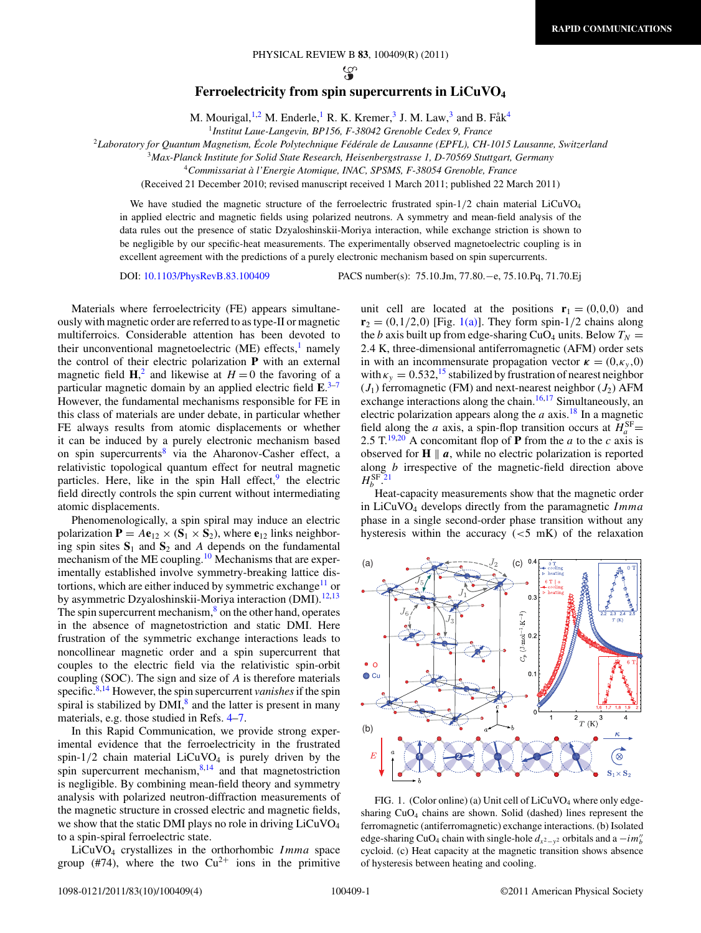PHYSICAL REVIEW B **83**, 100409(R) (2011)

လ္ဆ

## **Ferroelectricity from spin supercurrents in LiCuVO4**

M. Mourigal,  $^{1,2}$  M. Enderle, R. K. Kremer,  $^3$  J. M. Law,  $^3$  and B. Få $k^4$ 

<sup>1</sup>*Institut Laue-Langevin, BP156, F-38042 Grenoble Cedex 9, France*

<span id="page-0-0"></span><sup>2</sup>*Laboratory for Quantum Magnetism, Ecole Polytechnique F ´ ed´ erale de Lausanne (EPFL), CH-1015 Lausanne, Switzerland ´*

<sup>3</sup>*Max-Planck Institute for Solid State Research, Heisenbergstrasse 1, D-70569 Stuttgart, Germany*

<sup>4</sup>*Commissariat a l'Energie Atomique, INAC, SPSMS, F-38054 Grenoble, France `*

(Received 21 December 2010; revised manuscript received 1 March 2011; published 22 March 2011)

We have studied the magnetic structure of the ferroelectric frustrated spin-1/2 chain material LiCuVO<sub>4</sub> in applied electric and magnetic fields using polarized neutrons. A symmetry and mean-field analysis of the data rules out the presence of static Dzyaloshinskii-Moriya interaction, while exchange striction is shown to be negligible by our specific-heat measurements. The experimentally observed magnetoelectric coupling is in excellent agreement with the predictions of a purely electronic mechanism based on spin supercurrents.

DOI: [10.1103/PhysRevB.83.100409](http://dx.doi.org/10.1103/PhysRevB.83.100409) PACS number(s): 75*.*10*.*Jm, 77*.*80*.*−e, 75*.*10*.*Pq, 71*.*70*.*Ej

Materials where ferroelectricity (FE) appears simultaneously with magnetic order are referred to as type-II or magnetic multiferroics. Considerable attention has been devoted to their unconventional magnetoelectric  $(ME)$  effects,<sup>[1](#page-3-0)</sup> namely the control of their electric polarization **P** with an external magnetic field  $\mathbf{H}$ ,<sup>[2](#page-3-0)</sup> and likewise at  $H = 0$  the favoring of a particular magnetic domain by an applied electric field **E**. [3–7](#page-3-0) However, the fundamental mechanisms responsible for FE in this class of materials are under debate, in particular whether FE always results from atomic displacements or whether it can be induced by a purely electronic mechanism based on spin supercurrents<sup>[8](#page-3-0)</sup> via the Aharonov-Casher effect, a relativistic topological quantum effect for neutral magnetic particles. Here, like in the spin Hall effect, $9$  the electric field directly controls the spin current without intermediating atomic displacements.

Phenomenologically, a spin spiral may induce an electric polarization  $P = Ae_{12} \times (S_1 \times S_2)$ , where  $e_{12}$  links neighboring spin sites  $S_1$  and  $S_2$  and *A* depends on the fundamental mechanism of the ME coupling[.10](#page-3-0) Mechanisms that are experimentally established involve symmetry-breaking lattice dis-tortions, which are either induced by symmetric exchange<sup>[11](#page-3-0)</sup> or by asymmetric Dzyaloshinskii-Moriya interaction (DMI).<sup>[12,13](#page-3-0)</sup> The spin supercurrent mechanism, $\frac{8}{3}$  on the other hand, operates in the absence of magnetostriction and static DMI. Here frustration of the symmetric exchange interactions leads to noncollinear magnetic order and a spin supercurrent that couples to the electric field via the relativistic spin-orbit coupling (SOC). The sign and size of *A* is therefore materials specific.<sup>8,14</sup> However, the spin supercurrent *vanishes* if the spin spiral is stabilized by  $DMI<sub>1</sub><sup>8</sup>$  and the latter is present in many materials, e.g. those studied in Refs. [4–7.](#page-3-0)

In this Rapid Communication, we provide strong experimental evidence that the ferroelectricity in the frustrated spin- $1/2$  chain material LiCuVO<sub>4</sub> is purely driven by the spin supercurrent mechanism, $8,14$  and that magnetostriction is negligible. By combining mean-field theory and symmetry analysis with polarized neutron-diffraction measurements of the magnetic structure in crossed electric and magnetic fields, we show that the static DMI plays no role in driving LiCuVO<sub>4</sub> to a spin-spiral ferroelectric state.

LiCuVO4 crystallizes in the orthorhombic *Imma* space group (#74), where the two  $Cu^{2+}$  ions in the primitive unit cell are located at the positions  $\mathbf{r}_1 = (0,0,0)$  and  $\mathbf{r}_2 = (0,1/2,0)$  [Fig. 1(a)]. They form spin-1/2 chains along the *b* axis built up from edge-sharing CuO<sub>4</sub> units. Below  $T_N =$ 2*.*4 K, three-dimensional antiferromagnetic (AFM) order sets in with an incommensurate propagation vector  $\kappa = (0, \kappa_{\nu}, 0)$ with  $\kappa_y = 0.532$ ,<sup>[15](#page-3-0)</sup> stabilized by frustration of nearest neighbor  $(J_1)$  ferromagnetic (FM) and next-nearest neighbor  $(J_2)$  AFM exchange interactions along the chain.<sup>16,17</sup> Simultaneously, an electric polarization appears along the  $a$  axis.<sup>18</sup> In a magnetic field along the *a* axis, a spin-flop transition occurs at  $H_a^{\text{SF}} =$ 2.5 T.<sup>[19,20](#page-3-0)</sup> A concomitant flop of **P** from the *a* to the *c* axis is observed for  $H \parallel a$ , while no electric polarization is reported along *b* irrespective of the magnetic-field direction above  $H_b^{\rm SF}$ .<sup>[21](#page-3-0)</sup>

Heat-capacity measurements show that the magnetic order in LiCuVO4 develops directly from the paramagnetic *Imma* phase in a single second-order phase transition without any hysteresis within the accuracy (*<*5 mK) of the relaxation



FIG. 1. (Color online) (a) Unit cell of  $LiCuVO<sub>4</sub>$  where only edgesharing  $CuO<sub>4</sub>$  chains are shown. Solid (dashed) lines represent the ferromagnetic (antiferromagnetic) exchange interactions. (b) Isolated edge-sharing CuO<sub>4</sub> chain with single-hole  $d_{x^2-y^2}$  orbitals and a  $-i m_b^{\prime\prime}$ cycloid. (c) Heat capacity at the magnetic transition shows absence of hysteresis between heating and cooling.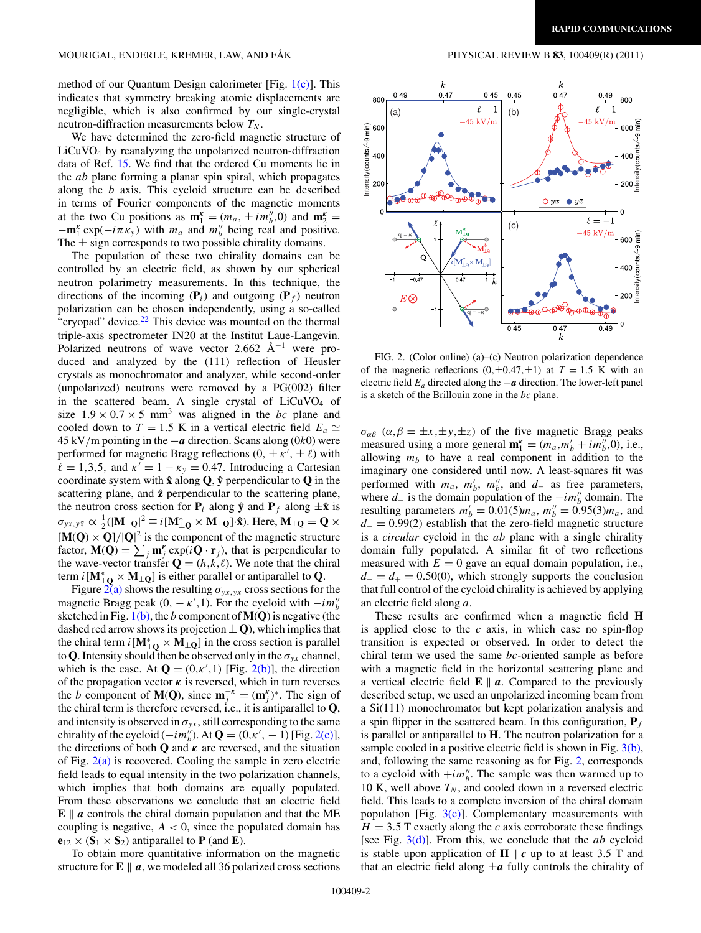method of our Quantum Design calorimeter [Fig. [1\(c\)\]](#page-0-0). This indicates that symmetry breaking atomic displacements are negligible, which is also confirmed by our single-crystal neutron-diffraction measurements below  $T_N$ .

We have determined the zero-field magnetic structure of LiCuVO4 by reanalyzing the unpolarized neutron-diffraction data of Ref. [15.](#page-3-0) We find that the ordered Cu moments lie in the *ab* plane forming a planar spin spiral, which propagates along the *b* axis. This cycloid structure can be described in terms of Fourier components of the magnetic moments at the two Cu positions as  $\mathbf{m}_1^k = (m_a, \pm i m_b^l, 0)$  and  $\mathbf{m}_2^k =$  $-\mathbf{m}_1^k \exp(-i\pi \kappa_y)$  with  $m_a$  and  $m''_b$  being real and positive. The  $\pm$  sign corresponds to two possible chirality domains.

The population of these two chirality domains can be controlled by an electric field, as shown by our spherical neutron polarimetry measurements. In this technique, the directions of the incoming  $(\mathbf{P}_i)$  and outgoing  $(\mathbf{P}_f)$  neutron polarization can be chosen independently, using a so-called "cryopad" device. $22$  This device was mounted on the thermal triple-axis spectrometer IN20 at the Institut Laue-Langevin. Polarized neutrons of wave vector 2.662  $\rm \AA^{-1}$  were produced and analyzed by the (111) reflection of Heusler crystals as monochromator and analyzer, while second-order (unpolarized) neutrons were removed by a PG(002) filter in the scattered beam. A single crystal of  $LiCuVO<sub>4</sub>$  of size  $1.9 \times 0.7 \times 5$  mm<sup>3</sup> was aligned in the *bc* plane and cooled down to *T* = 1.5 K in a vertical electric field  $E_a \simeq$ 45 kV*/*m pointing in the −*a* direction. Scans along (0*k*0) were performed for magnetic Bragg reflections  $(0, \pm \kappa', \pm \ell)$  with  $\ell = 1,3,5$ , and  $\kappa' = 1 - \kappa_y = 0.47$ . Introducing a Cartesian coordinate system with  $\hat{\mathbf{x}}$  along  $\mathbf{Q}$ ,  $\hat{\mathbf{y}}$  perpendicular to  $\mathbf{Q}$  in the scattering plane, and  $\hat{z}$  perpendicular to the scattering plane, the neutron cross section for  $P_i$  along  $\hat{y}$  and  $P_f$  along  $\pm \hat{x}$  is  $\sigma_{yx,y\bar{x}} \propto \frac{1}{2} (|\mathbf{M}_{\perp \mathbf{Q}}|^2 \mp i [\mathbf{M}_{\perp \mathbf{Q}}^* \times \mathbf{M}_{\perp \mathbf{Q}}]^2 \hat{\mathbf{x}})$ . Here,  $\mathbf{M}_{\perp \mathbf{Q}} = \mathbf{Q} \times \mathbf{Q}$  $[\mathbf{M}(\mathbf{Q}) \times \mathbf{Q}]/|\mathbf{Q}|^2$  is the component of the magnetic structure factor,  $\mathbf{M}(\mathbf{Q}) = \sum_j \mathbf{m}_j^k \exp(i\mathbf{Q} \cdot \mathbf{r}_j)$ , that is perpendicular to the wave-vector transfer  $\mathbf{Q} = (h, k, \ell)$ . We note that the chiral term  $i[\mathbf{M}_{\perp Q}^* \times \mathbf{M}_{\perp Q}]$  is either parallel or antiparallel to **Q**.

Figure  $2(a)$  shows the resulting  $\sigma_{yx,y\bar{x}}$  cross sections for the magnetic Bragg peak  $(0, -\kappa', 1)$ . For the cycloid with  $-i m''_b$ sketched in Fig. [1\(b\),](#page-0-0) the *b* component of **M**(**Q**) is negative (the dashed red arrow shows its projection ⊥ **Q**), which implies that the chiral term  $i[\mathbf{M}_{\perp Q}^* \times \mathbf{M}_{\perp Q}]$  in the cross section is parallel to Q. Intensity should then be observed only in the  $\sigma_{v\bar{x}}$  channel, which is the case. At  $\mathbf{Q} = (0, \kappa', 1)$  [Fig. 2(b)], the direction of the propagation vector  $\kappa$  is reversed, which in turn reverses the *b* component of **M**(**Q**), since  $\mathbf{m}^{-k}_j = (\mathbf{m}^k_j)^*$ . The sign of the chiral term is therefore reversed, i.e., it is antiparallel to **Q**, and intensity is observed in  $\sigma_{yx}$ , still corresponding to the same chirality of the cycloid  $(-im_b^{\prime\prime})$ . At  $\mathbf{Q} = (0, \kappa', -1)$  [Fig. 2(c)], the directions of both **Q** and  $\kappa$  are reversed, and the situation of Fig.  $2(a)$  is recovered. Cooling the sample in zero electric field leads to equal intensity in the two polarization channels, which implies that both domains are equally populated. From these observations we conclude that an electric field  $\mathbf{E} \parallel a$  controls the chiral domain population and that the ME coupling is negative,  $A < 0$ , since the populated domain has  $e_{12} \times (S_1 \times S_2)$  antiparallel to **P** (and **E**).

To obtain more quantitative information on the magnetic structure for  $\mathbf{E} \parallel a$ , we modeled all 36 polarized cross sections



FIG. 2. (Color online) (a)–(c) Neutron polarization dependence of the magnetic reflections  $(0, \pm 0.47, \pm 1)$  at  $T = 1.5$  K with an electric field *Ea* directed along the −*a* direction. The lower-left panel is a sketch of the Brillouin zone in the *bc* plane.

*σ<sub>αβ</sub>* ( $\alpha, \beta = \pm x, \pm y, \pm z$ ) of the five magnetic Bragg peaks measured using a more general  $\mathbf{m}_1^k = (m_a, m'_b + i m''_b, 0)$ , i.e., allowing  $m_b$  to have a real component in addition to the imaginary one considered until now. A least-squares fit was performed with  $m_a$ ,  $m'_b$ ,  $m''_b$ , and  $d_-$  as free parameters, where  $d_$  is the domain population of the  $-i m_b^{\prime\prime}$  domain. The resulting parameters  $m'_b = 0.01(5)m_a$ ,  $m''_b = 0.95(3)m_a$ , and *d*<sub>−</sub> = 0.99(2) establish that the zero-field magnetic structure is a *circular* cycloid in the *ab* plane with a single chirality domain fully populated. A similar fit of two reflections measured with  $E = 0$  gave an equal domain population, i.e.,  $d<sub>-</sub> = d<sub>+</sub> = 0.50(0)$ , which strongly supports the conclusion that full control of the cycloid chirality is achieved by applying an electric field along *a*.

These results are confirmed when a magnetic field **H** is applied close to the *c* axis, in which case no spin-flop transition is expected or observed. In order to detect the chiral term we used the same *bc*-oriented sample as before with a magnetic field in the horizontal scattering plane and a vertical electric field  $\mathbf{E} \parallel a$ . Compared to the previously described setup, we used an unpolarized incoming beam from a Si(111) monochromator but kept polarization analysis and a spin flipper in the scattered beam. In this configuration, **P***<sup>f</sup>* is parallel or antiparallel to **H**. The neutron polarization for a sample cooled in a positive electric field is shown in Fig. [3\(b\),](#page-2-0) and, following the same reasoning as for Fig. 2, corresponds to a cycloid with  $+i m_b^{\prime\prime}$ . The sample was then warmed up to 10 K, well above  $T_N$ , and cooled down in a reversed electric field. This leads to a complete inversion of the chiral domain population [Fig.  $3(c)$ ]. Complementary measurements with  $H = 3.5$  T exactly along the *c* axis corroborate these findings [see Fig. [3\(d\)\]](#page-2-0). From this, we conclude that the *ab* cycloid is stable upon application of  $H \parallel c$  up to at least 3.5 T and that an electric field along  $\pm a$  fully controls the chirality of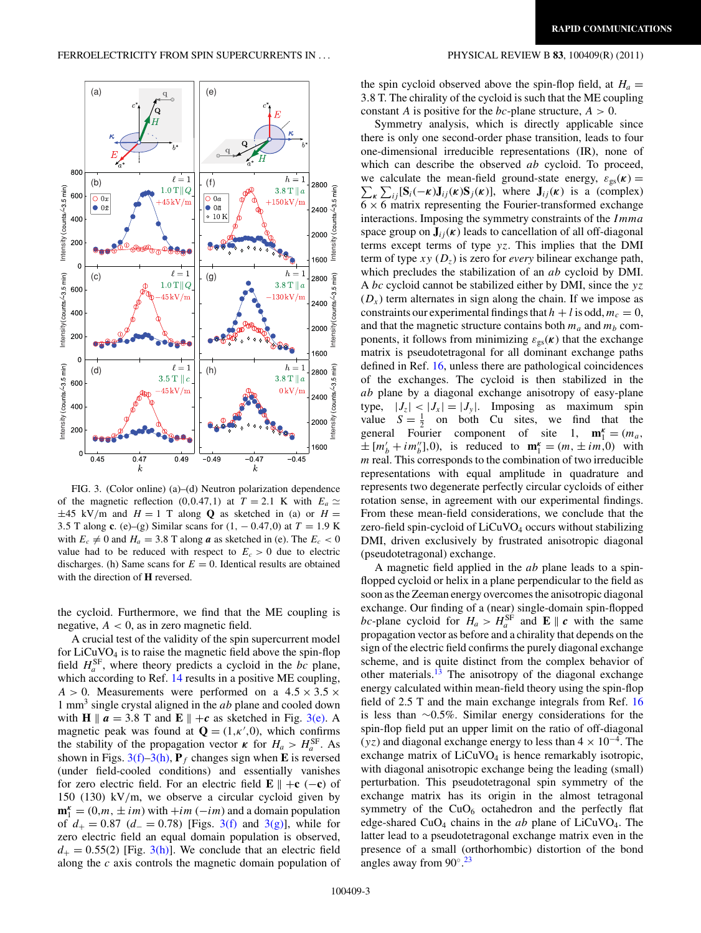<span id="page-2-0"></span>

FIG. 3. (Color online) (a)–(d) Neutron polarization dependence of the magnetic reflection (0,0.47,1) at  $T = 2.1$  K with  $E_a \simeq$  $\pm 45$  kV/m and  $H = 1$  T along **Q** as sketched in (a) or  $H =$ 3*.*5 T along **c**. (e)–(g) Similar scans for (1*,* − 0*.*47*,*0) at *T* = 1*.*9 K with  $E_c \neq 0$  and  $H_a = 3.8$  T along *a* as sketched in (e). The  $E_c < 0$ value had to be reduced with respect to  $E_c > 0$  due to electric discharges. (h) Same scans for  $E = 0$ . Identical results are obtained with the direction of **H** reversed.

the cycloid. Furthermore, we find that the ME coupling is negative,  $A < 0$ , as in zero magnetic field.

A crucial test of the validity of the spin supercurrent model for  $LiCuVO<sub>4</sub>$  is to raise the magnetic field above the spin-flop field  $H_a^{\text{SF}}$ , where theory predicts a cycloid in the *bc* plane, which according to Ref. [14](#page-3-0) results in a positive ME coupling,  $A > 0$ . Measurements were performed on a  $4.5 \times 3.5 \times$ 1 mm3 single crystal aligned in the *ab* plane and cooled down with **H**  $\parallel$  **a** = 3.8 T and **E**  $\parallel$  +**c** as sketched in Fig. 3(e). A magnetic peak was found at  $\mathbf{Q} = (1, \kappa', 0)$ , which confirms the stability of the propagation vector  $\kappa$  for  $H_a > H_a^{\text{SF}}$ . As shown in Figs.  $3(f)$ – $3(h)$ ,  $P_f$  changes sign when **E** is reversed (under field-cooled conditions) and essentially vanishes for zero electric field. For an electric field  $\mathbf{E} \parallel +\mathbf{c} (-\mathbf{c})$  of 150 (130) kV*/*m, we observe a circular cycloid given by  $\mathbf{m}_1^{\kappa} = (0, m, \pm im)$  with  $+im (-im)$  and a domain population of  $d_+ = 0.87$  ( $d_-=0.78$ ) [Figs. 3(f) and 3(g)], while for zero electric field an equal domain population is observed,  $d_+ = 0.55(2)$  [Fig. 3(h)]. We conclude that an electric field along the *c* axis controls the magnetic domain population of

the spin cycloid observed above the spin-flop field, at  $H_a =$ 3*.*8 T. The chirality of the cycloid is such that the ME coupling constant *A* is positive for the *bc*-plane structure, *A >* 0.

Symmetry analysis, which is directly applicable since there is only one second-order phase transition, leads to four one-dimensional irreducible representations (IR), none of which can describe the observed *ab* cycloid. To proceed, we calculate the mean-field ground-state energy,  $\varepsilon_{gs}(\kappa) = \sum_{n=1}^{\infty} \sum_{n=1}^{\infty} \varepsilon_{gs}(\kappa)$  $\sum_{\kappa} \sum_{ij} [\mathbf{S}_i(-\kappa) \mathbf{J}_{ij}(\kappa) \mathbf{S}_j(\kappa)]$ , where  $\mathbf{J}_{ij}(\kappa)$  is a (complex)  $6 \times 6$  matrix representing the Fourier-transformed exchange interactions. Imposing the symmetry constraints of the *Imma* space group on  $J_{ij}(\kappa)$  leads to cancellation of all off-diagonal terms except terms of type *yz*. This implies that the DMI term of type  $xy(D_z)$  is zero for *every* bilinear exchange path, which precludes the stabilization of an *ab* cycloid by DMI. A *bc* cycloid cannot be stabilized either by DMI, since the *yz*  $(D<sub>x</sub>)$  term alternates in sign along the chain. If we impose as constraints our experimental findings that  $h + l$  is odd,  $m_c = 0$ , and that the magnetic structure contains both  $m_a$  and  $m_b$  components, it follows from minimizing  $\varepsilon_{gs}(\kappa)$  that the exchange matrix is pseudotetragonal for all dominant exchange paths defined in Ref. [16,](#page-3-0) unless there are pathological coincidences of the exchanges. The cycloid is then stabilized in the *ab* plane by a diagonal exchange anisotropy of easy-plane type,  $|J_z| < |J_x| = |J_y|$ . Imposing as maximum spin value  $S = \frac{1}{2}$  on both Cu sites, we find that the general Fourier component of site 1,  $\mathbf{m}_1^k = (m_a,$  $\pm [m'_b + im''_b],0)$ , is reduced to  $\mathbf{m}_1^k = (m, \pm im,0)$  with *m* real. This corresponds to the combination of two irreducible representations with equal amplitude in quadrature and represents two degenerate perfectly circular cycloids of either rotation sense, in agreement with our experimental findings. From these mean-field considerations, we conclude that the zero-field spin-cycloid of LiCuVO4 occurs without stabilizing DMI, driven exclusively by frustrated anisotropic diagonal (pseudotetragonal) exchange.

A magnetic field applied in the *ab* plane leads to a spinflopped cycloid or helix in a plane perpendicular to the field as soon as the Zeeman energy overcomes the anisotropic diagonal exchange. Our finding of a (near) single-domain spin-flopped bc-plane cycloid for  $H_a > H_a^{\text{SF}}$  and  $\mathbf{E} \parallel c$  with the same propagation vector as before and a chirality that depends on the sign of the electric field confirms the purely diagonal exchange scheme, and is quite distinct from the complex behavior of other materials. $13$  The anisotropy of the diagonal exchange energy calculated within mean-field theory using the spin-flop field of 2.5 T and the main exchange integrals from Ref. [16](#page-3-0) is less than ∼0.5%. Similar energy considerations for the spin-flop field put an upper limit on the ratio of off-diagonal  $(yz)$  and diagonal exchange energy to less than  $4 \times 10^{-4}$ . The exchange matrix of  $LiCuVO<sub>4</sub>$  is hence remarkably isotropic, with diagonal anisotropic exchange being the leading (small) perturbation. This pseudotetragonal spin symmetry of the exchange matrix has its origin in the almost tetragonal symmetry of the  $CuO<sub>6</sub>$  octahedron and the perfectly flat edge-shared CuO4 chains in the *ab* plane of LiCuVO4. The latter lead to a pseudotetragonal exchange matrix even in the presence of a small (orthorhombic) distortion of the bond angles away from  $90°$ .<sup>[23](#page-3-0)</sup>